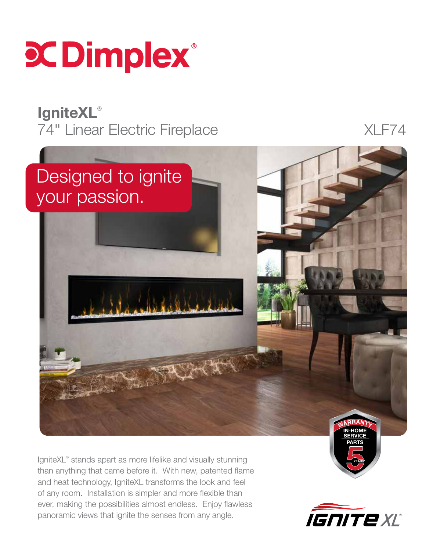

## **IgniteXL®** 74" Linear Electric Fireplace XLF74



IgniteXL® stands apart as more lifelike and visually stunning than anything that came before it. With new, patented flame and heat technology, IgniteXL transforms the look and feel of any room. Installation is simpler and more flexible than ever, making the possibilities almost endless. Enjoy flawless panoramic views that ignite the senses from any angle.



YEARS\*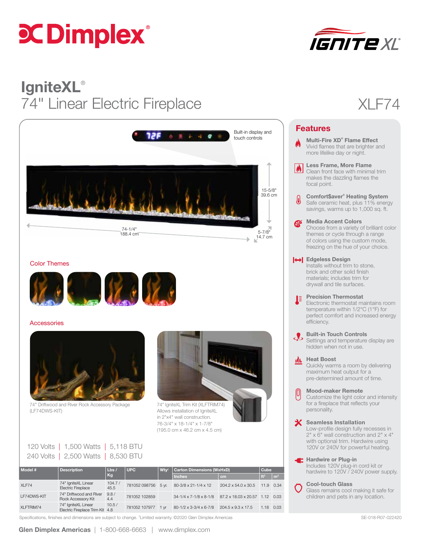# **CCDimplex**®



## **IgniteXL®** 74" Linear Electric Fireplace XLF74



#### Color Themes



#### **Accessories**



74" Driftwood and River Rock Accessory Package (LF74DWS-KIT)



 $\text{U}$ ton Dimensions (WyHyD)  $\boxed{\text{Cub}}$ 

74" IgniteXL Trim Kit (XLFTRIM74) Allows installation of IgniteXL in 2"x4" wall construction. 76-3/4" x 18-1/4" x 1-7/8" (195.0 cm x 46.2 cm x 4.5 cm)

| Model # | Description                         | $\begin{vmatrix} \mathsf{Lbs} & \mathsf{UPC} \\ \mathsf{Kq} & \end{vmatrix}$ | $Wty^{\dagger}$ C |  |
|---------|-------------------------------------|------------------------------------------------------------------------------|-------------------|--|
|         | 240 Volts   2,500 Watts   8,530 BTU |                                                                              |                   |  |
|         | 120 Volts   1,500 Watts   5,118 BTU |                                                                              |                   |  |

| ----------<br>_________ |                                                        | ___            | .                   | . |                                                       |                                | .               |                |
|-------------------------|--------------------------------------------------------|----------------|---------------------|---|-------------------------------------------------------|--------------------------------|-----------------|----------------|
|                         |                                                        | Kg             |                     |   | <b>Inches</b>                                         | cm                             | ft <sup>3</sup> | m <sup>3</sup> |
| XLF74                   | 74" IgniteXL Linear<br><b>Electric Fireplace</b>       | 104.7/<br>45.5 | 781052 098756 5 yr. |   | 80-3/8 x 21-1/4 x 12                                  | 204.2 x 54.0 x 30.5            | 11.9 0.34       |                |
| LF74DWS-KIT             | 74" Driftwood and River<br>Rock Accessory Kit          | 9.8/<br>4.4    | 781052 102859       |   | 34-1/4 x 7-1/8 x 8-1/8 87.2 x 18.03 x 20.57 1.12 0.03 |                                |                 |                |
| XLFTRIM74               | 74" IgniteXL Linear<br>Electric Fireplace Trim Kit 4.8 | 10.5/          | 781052 107977 1 vr  |   | 80-1/2 x 3-3/4 x 6-7/8                                | $204.5 \times 9.3 \times 17.5$ | 1.18 0.03       |                |



|                  | <b>Features</b>                                                                                                                                                                           |
|------------------|-------------------------------------------------------------------------------------------------------------------------------------------------------------------------------------------|
|                  | Multi-Fire XD <sup>®</sup> Flame Effect<br>Vivid flames that are brighter and<br>more lifelike day or night.                                                                              |
| $\blacktriangle$ | Less Frame, More Flame<br>Clean front face with minimal trim<br>makes the dazzling flames the<br>focal point.                                                                             |
| I                | <b>Comfort\$aver® Heating System</b><br>Safe ceramic heat, plus 11% energy<br>savings, warms up to 1,000 sq. ft.                                                                          |
| EL-              | <b>Media Accent Colors</b><br>Choose from a variety of brilliant color<br>themes or cycle through a range<br>of colors using the custom mode,<br>freezing on the hue of your choice.      |
|                  | <b>O</b> Edgeless Design<br>Installs without trim to stone,<br>brick and other solid finish<br>materials: includes trim for<br>drywall and tile surfaces.                                 |
| ĮĒ,              | <b>Precision Thermostat</b><br>Electronic thermostat maintains room<br>temperature within 1/2°C (1°F) for<br>perfect comfort and increased energy<br>efficiency.                          |
|                  | <b>Built-in Touch Controls</b><br>Settings and temperature display are<br>hidden when not in use.                                                                                         |
|                  | <b>Heat Boost</b><br>Quickly warms a room by delivering<br>maximum heat output for a<br>pre-determined amount of time.                                                                    |
|                  | <b>Mood-maker Remote</b><br>Customize the light color and intensity<br>for a fireplace that reflects your<br>personality.                                                                 |
|                  | <b>Seamless Installation</b><br>Low-profile design fully recesses in<br>2" x 6" wall construction and 2" x 4"<br>with optional trim. Hardwire using<br>120V or 240V for powerful heating. |
|                  | <b>E</b> Hardwire or Plug-in<br>Includes 120V plug-in cord kit or<br>hardwire to 120V / 240V power supply.                                                                                |
|                  | <b>Cool-touch Glass</b>                                                                                                                                                                   |

Glass remains cool making it safe for children and pets in any location.